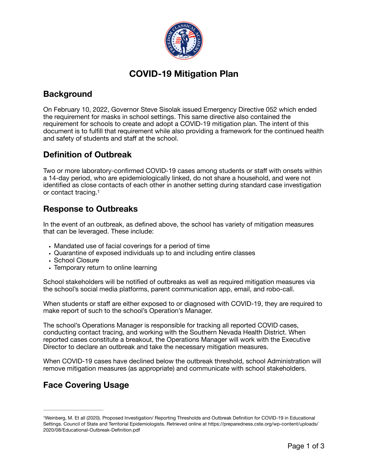

# **COVID-19 Mitigation Plan**

# **Background**

On February 10, 2022, Governor Steve Sisolak issued Emergency Directive 052 which ended the requirement for masks in school settings. This same directive also contained the requirement for schools to create and adopt a COVID-19 mitigation plan. The intent of this document is to fulfill that requirement while also providing a framework for the continued health and safety of students and staff at the school.

## **Definition of Outbreak**

Two or more laboratory-confirmed COVID-19 cases among students or staff with onsets within a 14-day period, who are epidemiologically linked, do not share a household, and were not identified as close contacts of each other in another setting during standard case investigation or contact tracing.1

#### **Response to Outbreaks**

In the event of an outbreak, as defined above, the school has variety of mitigation measures that can be leveraged. These include:

- **•** Mandated use of facial coverings for a period of time
- **•** Quarantine of exposed individuals up to and including entire classes
- **•** School Closure
- **•** Temporary return to online learning

School stakeholders will be notified of outbreaks as well as required mitigation measures via the school's social media platforms, parent communication app, email, and robo-call.

When students or staff are either exposed to or diagnosed with COVID-19, they are required to make report of such to the school's Operation's Manager.

The school's Operations Manager is responsible for tracking all reported COVID cases, conducting contact tracing, and working with the Southern Nevada Health District. When reported cases constitute a breakout, the Operations Manager will work with the Executive Director to declare an outbreak and take the necessary mitigation measures.

When COVID-19 cases have declined below the outbreak threshold, school Administration will remove mitigation measures (as appropriate) and communicate with school stakeholders.

# **Face Covering Usage**

<sup>1</sup>Weinberg, M. Et all (2020). Proposed Investigation/ Reporting Thresholds and Outbreak Definition for COVID-19 in Educational Settings. Council of State and Territorial Epidemiologists. Retrieved online at https://preparedness.cste.org/wp-content/uploads/ 2020/08/Educational-Outbreak-Definition.pdf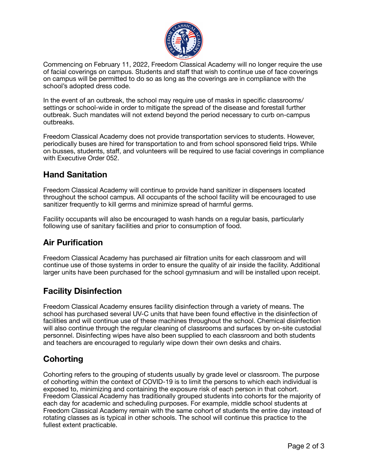

Commencing on February 11, 2022, Freedom Classical Academy will no longer require the use of facial coverings on campus. Students and staff that wish to continue use of face coverings on campus will be permitted to do so as long as the coverings are in compliance with the school's adopted dress code.

In the event of an outbreak, the school may require use of masks in specific classrooms/ settings or school-wide in order to mitigate the spread of the disease and forestall further outbreak. Such mandates will not extend beyond the period necessary to curb on-campus outbreaks.

Freedom Classical Academy does not provide transportation services to students. However, periodically buses are hired for transportation to and from school sponsored field trips. While on busses, students, staff, and volunteers will be required to use facial coverings in compliance with Executive Order 052.

#### **Hand Sanitation**

Freedom Classical Academy will continue to provide hand sanitizer in dispensers located throughout the school campus. All occupants of the school facility will be encouraged to use sanitizer frequently to kill germs and minimize spread of harmful germs.

Facility occupants will also be encouraged to wash hands on a regular basis, particularly following use of sanitary facilities and prior to consumption of food.

### **Air Purification**

Freedom Classical Academy has purchased air filtration units for each classroom and will continue use of those systems in order to ensure the quality of air inside the facility. Additional larger units have been purchased for the school gymnasium and will be installed upon receipt.

#### **Facility Disinfection**

Freedom Classical Academy ensures facility disinfection through a variety of means. The school has purchased several UV-C units that have been found effective in the disinfection of facilities and will continue use of these machines throughout the school. Chemical disinfection will also continue through the regular cleaning of classrooms and surfaces by on-site custodial personnel. Disinfecting wipes have also been supplied to each classroom and both students and teachers are encouraged to regularly wipe down their own desks and chairs.

## **Cohorting**

Cohorting refers to the grouping of students usually by grade level or classroom. The purpose of cohorting within the context of COVID-19 is to limit the persons to which each individual is exposed to, minimizing and containing the exposure risk of each person in that cohort. Freedom Classical Academy has traditionally grouped students into cohorts for the majority of each day for academic and scheduling purposes. For example, middle school students at Freedom Classical Academy remain with the same cohort of students the entire day instead of rotating classes as is typical in other schools. The school will continue this practice to the fullest extent practicable.